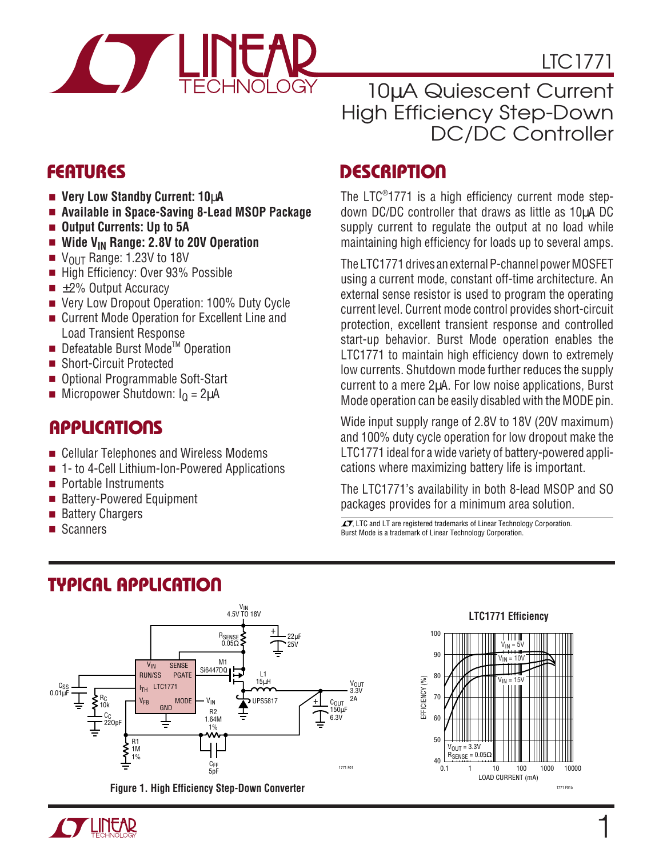

LTC1771

### 10µA Quiescent Current High Efficiency Step-Down DC/DC Controller

- **Very Low Standby Current: 10**µ**A**
- **Available in Space-Saving 8-Lead MSOP Package**
- **Output Currents: Up to 5A**
- **Wide V<sub>IN</sub> Range: 2.8V to 20V Operation**<br>■ V<sub>OUT</sub> Range: 1.23V to 18V
- $V_{\text{OUT}}$  Range: 1.23V to 18V
- High Efficiency: Over 93% Possible
- $\blacksquare$   $\pm$ 2% Output Accuracy
- Very Low Dropout Operation: 100% Duty Cycle
- Current Mode Operation for Excellent Line and Load Transient Response
- Defeatable Burst Mode™ Operation
- Short-Circuit Protected
- Optional Programmable Soft-Start
- **■** Micropower Shutdown:  $I_0 = 2\mu A$

### **APPLICATIONS**

- Cellular Telephones and Wireless Modems
- 1- to 4-Cell Lithium-Ion-Powered Applications
- Portable Instruments
- Battery-Powered Equipment
- Battery Chargers
- **Scanners**

### **FEATURES DESCRIPTIO U**

The LTC® 1771 is a high efficiency current mode stepdown DC/DC controller that draws as little as 10µA DC supply current to regulate the output at no load while maintaining high efficiency for loads up to several amps.

The LTC1771 drives an external P-channel power MOSFET using a current mode, constant off-time architecture. An external sense resistor is used to program the operating current level. Current mode control provides short-circuit protection, excellent transient response and controlled start-up behavior. Burst Mode operation enables the LTC1771 to maintain high efficiency down to extremely low currents. Shutdown mode further reduces the supply current to a mere 2µA. For low noise applications, Burst Mode operation can be easily disabled with the MODE pin.

Wide input supply range of 2.8V to 18V (20V maximum) and 100% duty cycle operation for low dropout make the LTC1771 ideal for a wide variety of battery-powered applications where maximizing battery life is important.

The LTC1771's availability in both 8-lead MSOP and SO packages provides for a minimum area solution.

 $\sqrt{J}$ , LTC and LT are registered trademarks of Linear Technology Corporation. Burst Mode is a trademark of Linear Technology Corporation.



**Figure 1. High Efficiency Step-Down Converter**



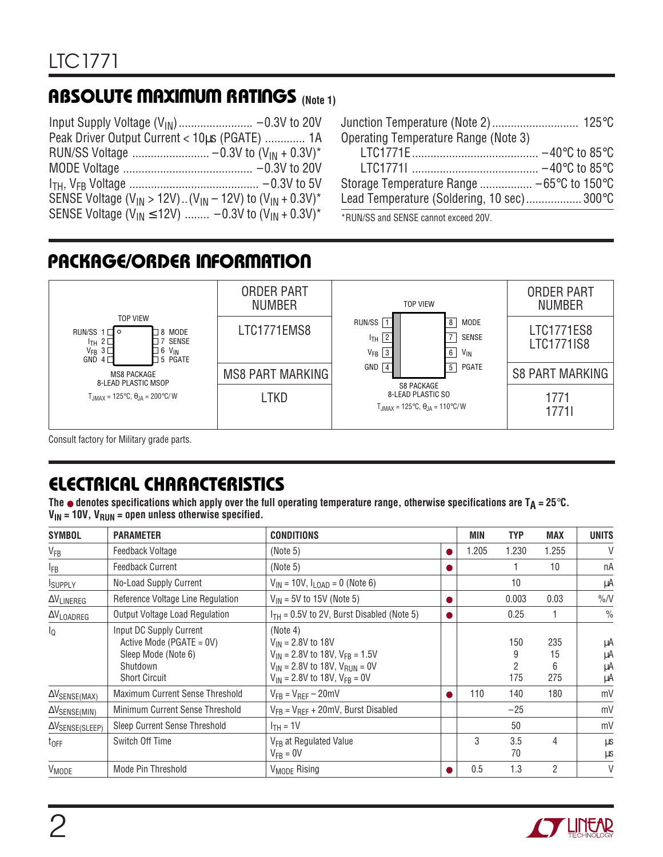# **ABSOLUTE MAXIMUM RATINGS** (Note 1)

| Peak Driver Output Current < 10us (PGATE)  1A                                                          |  |
|--------------------------------------------------------------------------------------------------------|--|
|                                                                                                        |  |
|                                                                                                        |  |
|                                                                                                        |  |
| SENSE Voltage (V <sub>IN</sub> > 12V) (V <sub>IN</sub> - 12V) to (V <sub>IN</sub> + 0.3V) <sup>*</sup> |  |
| SENSE Voltage (V <sub>IN</sub> $\leq$ 12V)  -0.3V to (V <sub>IN</sub> + 0.3V) <sup>*</sup>             |  |

| Operating Temperature Range (Note 3)       |  |
|--------------------------------------------|--|
|                                            |  |
|                                            |  |
| Storage Temperature Range  −65°C to 150°C  |  |
| Lead Temperature (Soldering, 10 sec) 300°C |  |
| $*$ DUN/CC and CENCE connot syssed 00V     |  |

\*RUN/SS and SENSE cannot exceed 20V.

# **PACKAGE/ORDER INFORMATION**



Consult factory for Military grade parts.

# **ELECTRICAL CHARACTERISTICS**

**The** ● **denotes specifications which apply over the full operating temperature range, otherwise specifications are TA = 25**°**C.**  $V_{IN}$  = 10V,  $V_{RUN}$  = open unless otherwise specified.

| <b>SYMBOL</b>                         | <b>PARAMETER</b>                                                                                                  | <b>CONDITIONS</b>                                                                                                                                                | MIN   | <b>TYP</b>      | <b>MAX</b>            | <b>UNITS</b>         |
|---------------------------------------|-------------------------------------------------------------------------------------------------------------------|------------------------------------------------------------------------------------------------------------------------------------------------------------------|-------|-----------------|-----------------------|----------------------|
| $V_{FB}$                              | Feedback Voltage                                                                                                  | (Note 5)                                                                                                                                                         | 1.205 | 1.230           | 1.255                 | V                    |
| <sub>FB</sub>                         | <b>Feedback Current</b>                                                                                           | (Note 5)                                                                                                                                                         |       |                 | 10                    | nA                   |
| <b>ISUPPLY</b>                        | No-Load Supply Current                                                                                            | $V_{IN}$ = 10V, $I_{LOAD}$ = 0 (Note 6)                                                                                                                          |       | 10              |                       | μA                   |
| $\Delta V_{LINEREG}$                  | Reference Voltage Line Regulation                                                                                 | $V_{IN}$ = 5V to 15V (Note 5)                                                                                                                                    |       | 0.003           | 0.03                  | $\%N$                |
| $\Delta V_{\text{LOADREG}}$           | Output Voltage Load Regulation                                                                                    | $I_{TH}$ = 0.5V to 2V, Burst Disabled (Note 5)                                                                                                                   |       | 0.25            |                       | $\frac{0}{0}$        |
| l <sub>0</sub>                        | Input DC Supply Current<br>Active Mode (PGATE = $0V$ )<br>Sleep Mode (Note 6)<br>Shutdown<br><b>Short Circuit</b> | (Note 4)<br>$V_{IN} = 2.8V$ to 18V<br>$V_{IN}$ = 2.8V to 18V, $V_{FB}$ = 1.5V<br>$V_{IN}$ = 2.8V to 18V, $V_{RUN}$ = 0V<br>$V_{IN}$ = 2.8V to 18V, $V_{FB}$ = 0V |       | 150<br>2<br>175 | 235<br>15<br>6<br>275 | μA<br>μA<br>μA<br>μA |
| $\Delta V_{\text{SENSE}(\text{MAX})}$ | Maximum Current Sense Threshold                                                                                   | $V_{FR} = V_{RFF} - 20$ mV                                                                                                                                       | 110   | 140             | 180                   | mV                   |
| $\Delta V_{\text{SENSE}(\text{MIN})}$ | Minimum Current Sense Threshold                                                                                   | $V_{FB} = V_{REF} + 20mV$ , Burst Disabled                                                                                                                       |       | $-25$           |                       | mV                   |
| $\Delta V$ SENSE(SLEEP)               | Sleep Current Sense Threshold                                                                                     | $ITH = 1V$                                                                                                                                                       |       | 50              |                       | mV                   |
| $t_{OFF}$                             | Switch Off Time                                                                                                   | V <sub>FB</sub> at Regulated Value<br>$V_{FR} = 0V$                                                                                                              | 3     | 3.5<br>70       | 4                     | μS<br>μs             |
| V <sub>MODE</sub>                     | Mode Pin Threshold                                                                                                | V <sub>MODE</sub> Rising                                                                                                                                         | 0.5   | 1.3             | 2                     | V                    |

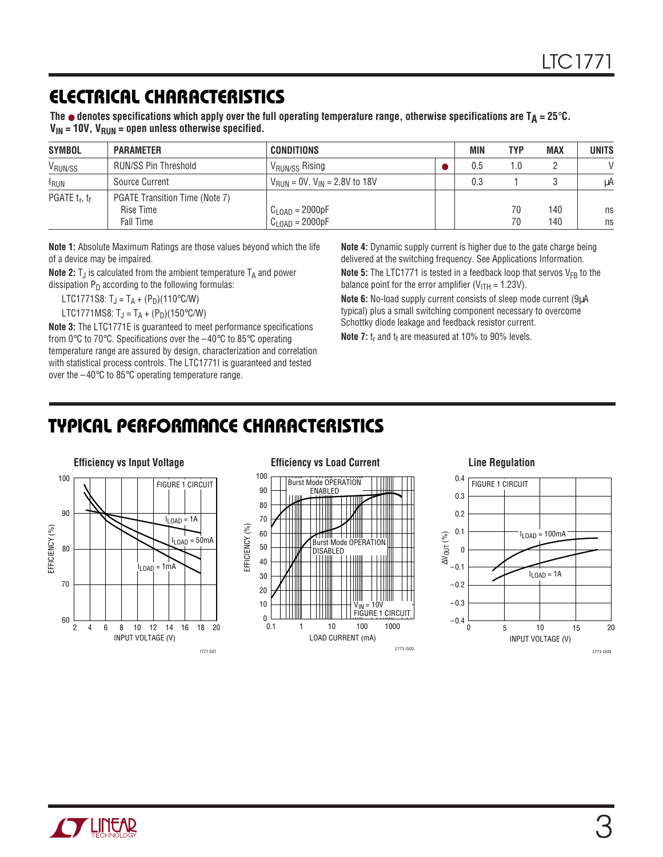### **ELECTRICAL CHARACTERISTICS**

The  $\bullet$  denotes specifications which apply over the full operating temperature range, otherwise specifications are  $T_A = 25^\circ \text{C}$ .  $V_{IN}$  = 10V,  $V_{RUN}$  = open unless otherwise specified.

| <b>SYMBOL</b>       | <b>PARAMETER</b>                                                | <b>CONDITIONS</b>                                        | MIN | <b>TYP</b> | <b>MAX</b> | <b>UNITS</b>  |
|---------------------|-----------------------------------------------------------------|----------------------------------------------------------|-----|------------|------------|---------------|
| V <sub>RUN/SS</sub> | <b>RUN/SS Pin Threshold</b>                                     | 'V <sub>RUN/SS</sub> Rising                              | 0.5 | 1.0        |            | $\mathcal{U}$ |
| <b>RUN</b>          | Source Current                                                  | $V_{\text{RUN}} = 0V$ , $V_{\text{IN}} = 2.8V$ to 18V    | 0.3 |            |            | μA            |
| PGATE $t_r$ , $t_f$ | PGATE Transition Time (Note 7)<br>Rise Time<br><b>Fall Time</b> | $C_{\text{LOAD}} = 2000pF$<br>$C_{\text{LOAD}} = 2000pF$ |     | 70<br>70   | 140<br>140 | ns<br>ns      |

**Note 1:** Absolute Maximum Ratings are those values beyond which the life of a device may be impaired.

**Note 2:**  $T_J$  is calculated from the ambient temperature  $T_A$  and power dissipation  $P_D$  according to the following formulas:

LTC1771S8:  $T_{\rm J} = T_{\rm A} + (P_{\rm D})$ (110°C/W)

LTC1771MS8:  $T_J = T_A + (P_D)(150^{\circ}C/W)$ 

**Note 3:** The LTC1771E is guaranteed to meet performance specifications from 0°C to 70°C. Specifications over the –40°C to 85°C operating temperature range are assured by design, characterization and correlation with statistical process controls. The LTC1771I is guaranteed and tested over the  $-40^{\circ}$ C to 85 $^{\circ}$ C operating temperature range.

**Note 4:** Dynamic supply current is higher due to the gate charge being delivered at the switching frequency. See Applications Information. **Note 5:** The LTC1771 is tested in a feedback loop that servos  $V_{FB}$  to the

balance point for the error amplifier ( $V_{\text{ITH}}$  = 1.23V).

**Note 6:** No-load supply current consists of sleep mode current (9µA typical) plus a small switching component necessary to overcome Schottky diode leakage and feedback resistor current.

**Note 7:** t<sub>r</sub> and t<sub>f</sub> are measured at 10% to 90% levels.

### **TYPICAL PERFORMANCE CHARACTERISTICS**



100 Burst Mode OPERATION 90 ENABLED 80 70 EFFICIENCY (%) EFFICIENCY (%) 60 Burst Mode O 50 DISABLED 40 30 20 10 V<sub>IN</sub> = 10V<br>FIGURE 1 CIRCUIT  $\Omega$ 

LOAD CURRENT (mA)

1 10 100 1000

1771 G02

0.1

#### **Efficiency vs Load Current Line Regulation**



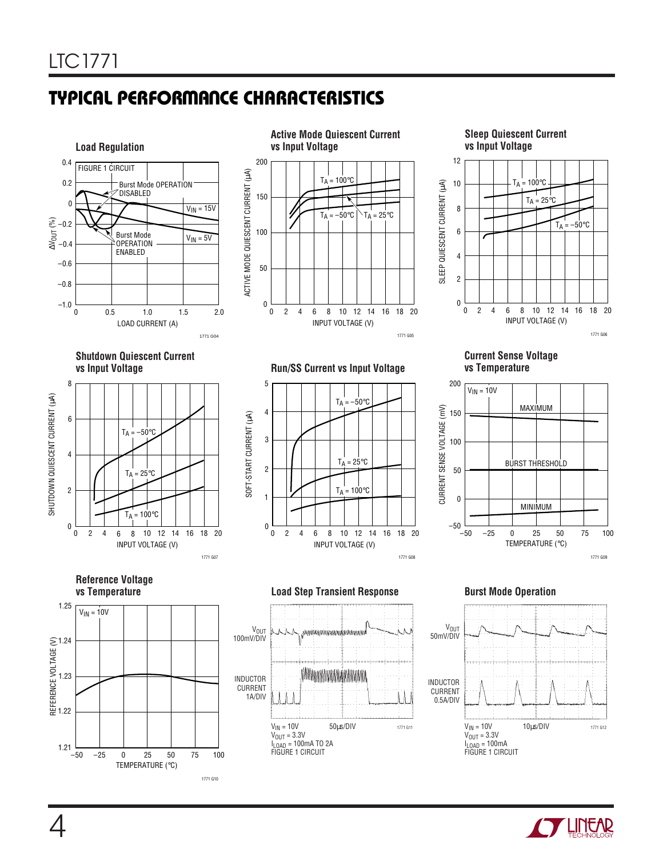# **TYPICAL PERFORMANCE CHARACTERISTICS**



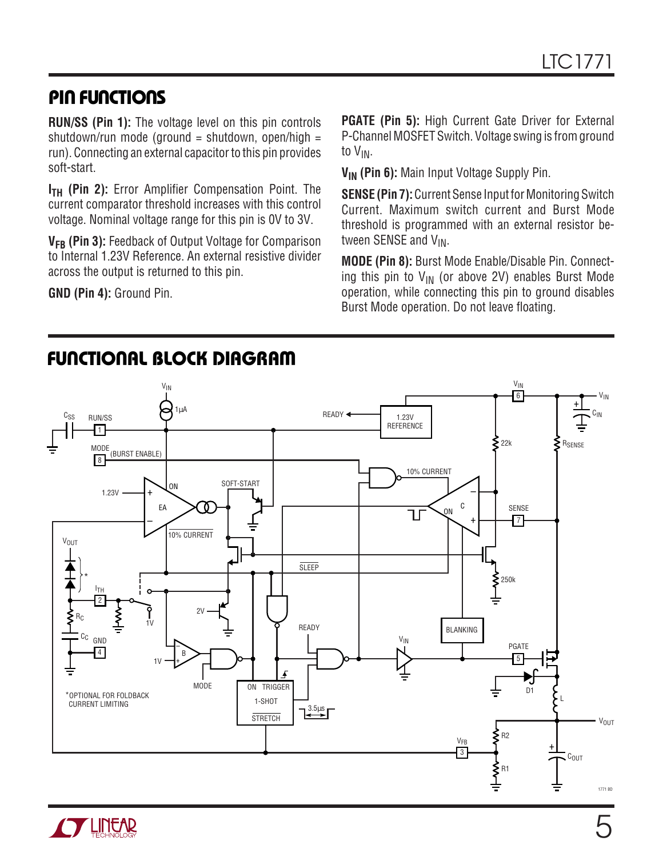### **PIN FUNCTIONS**

**RUN/SS (Pin 1):** The voltage level on this pin controls shutdown/run mode (ground = shutdown, open/high = run). Connecting an external capacitor to this pin provides soft-start.

**I<sub>TH</sub>** (Pin 2): Error Amplifier Compensation Point. The current comparator threshold increases with this control voltage. Nominal voltage range for this pin is 0V to 3V.

**V<sub>FB</sub>** (Pin 3): Feedback of Output Voltage for Comparison to Internal 1.23V Reference. An external resistive divider across the output is returned to this pin.

**GND (Pin 4):** Ground Pin.

**TENEAR** 

**PGATE (Pin 5):** High Current Gate Driver for External P-Channel MOSFET Switch. Voltage swing is from ground to VIN.

**VIN (Pin 6):** Main Input Voltage Supply Pin.

**SENSE (Pin 7):** Current Sense Input for Monitoring Switch Current. Maximum switch current and Burst Mode threshold is programmed with an external resistor between SENSE and V<sub>IN</sub>.

**MODE (Pin 8):** Burst Mode Enable/Disable Pin. Connecting this pin to  $V_{IN}$  (or above 2V) enables Burst Mode operation, while connecting this pin to ground disables Burst Mode operation. Do not leave floating.



# **FUNCTIONAL BLOCK DIAGRAM**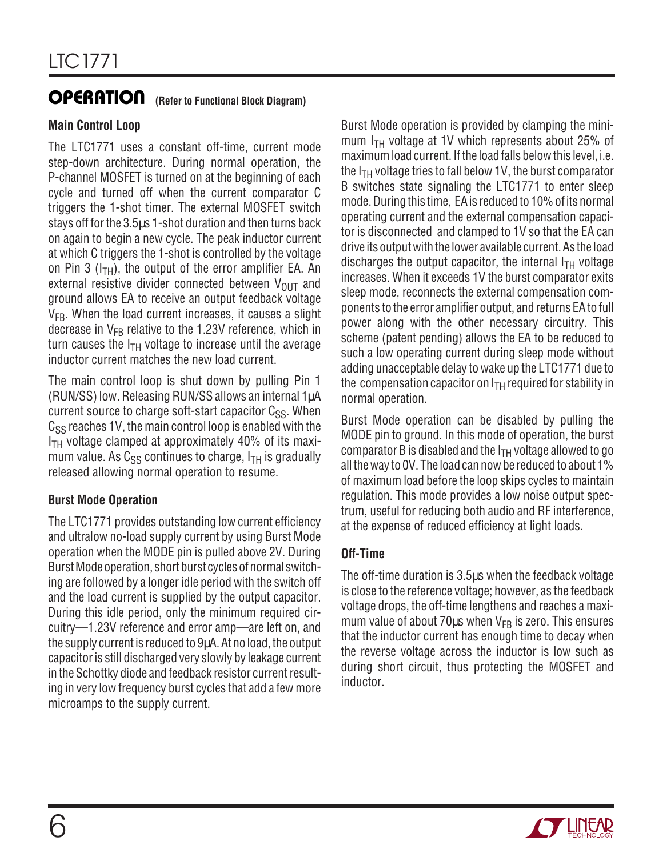# **OPERATION** (Refer to Functional Block Diagram)

### **Main Control Loop**

The LTC1771 uses a constant off-time, current mode step-down architecture. During normal operation, the P-channel MOSFET is turned on at the beginning of each cycle and turned off when the current comparator C triggers the 1-shot timer. The external MOSFET switch stays off for the 3.5µs 1-shot duration and then turns back on again to begin a new cycle. The peak inductor current at which C triggers the 1-shot is controlled by the voltage on Pin 3 ( $I<sub>TH</sub>$ ), the output of the error amplifier EA. An external resistive divider connected between  $V_{\text{OUT}}$  and ground allows EA to receive an output feedback voltage  $V_{FB}$ . When the load current increases, it causes a slight decrease in  $V_{FB}$  relative to the 1.23V reference, which in turn causes the  $I<sub>TH</sub>$  voltage to increase until the average inductor current matches the new load current.

The main control loop is shut down by pulling Pin 1 (RUN/SS) low. Releasing RUN/SS allows an internal 1µA current source to charge soft-start capacitor  $C_{SS}$ . When  $C_{SS}$  reaches 1V, the main control loop is enabled with the  $I<sub>TH</sub>$  voltage clamped at approximately 40% of its maximum value. As  $C_{SS}$  continues to charge,  $I_{TH}$  is gradually released allowing normal operation to resume.

### **Burst Mode Operation**

The LTC1771 provides outstanding low current efficiency and ultralow no-load supply current by using Burst Mode operation when the MODE pin is pulled above 2V. During Burst Mode operation, short burst cycles of normal switching are followed by a longer idle period with the switch off and the load current is supplied by the output capacitor. During this idle period, only the minimum required circuitry—1.23V reference and error amp—are left on, and the supply current is reduced to 9µA. At no load, the output capacitor is still discharged very slowly by leakage current in the Schottky diode and feedback resistor current resulting in very low frequency burst cycles that add a few more microamps to the supply current.

Burst Mode operation is provided by clamping the minimum  $I<sub>TH</sub>$  voltage at 1V which represents about 25% of maximum load current. If the load falls below this level, i.e. the  $I<sub>TH</sub>$  voltage tries to fall below 1V, the burst comparator B switches state signaling the LTC1771 to enter sleep mode. During this time, EA is reduced to 10% of its normal operating current and the external compensation capacitor is disconnected and clamped to 1V so that the EA can drive its output with the lower available current. As the load discharges the output capacitor, the internal  $I<sub>TH</sub>$  voltage increases. When it exceeds 1V the burst comparator exits sleep mode, reconnects the external compensation components to the error amplifier output, and returns EA to full power along with the other necessary circuitry. This scheme (patent pending) allows the EA to be reduced to such a low operating current during sleep mode without adding unacceptable delay to wake up the LTC1771 due to the compensation capacitor on  $I<sub>TH</sub>$  required for stability in normal operation.

Burst Mode operation can be disabled by pulling the MODE pin to ground. In this mode of operation, the burst comparator B is disabled and the  $I<sub>TH</sub>$  voltage allowed to go all the way to 0V. The load can now be reduced to about 1% of maximum load before the loop skips cycles to maintain regulation. This mode provides a low noise output spectrum, useful for reducing both audio and RF interference, at the expense of reduced efficiency at light loads.

### **Off-Time**

The off-time duration is 3.5µs when the feedback voltage is close to the reference voltage; however, as the feedback voltage drops, the off-time lengthens and reaches a maximum value of about 70 $\mu$ s when V<sub>FB</sub> is zero. This ensures that the inductor current has enough time to decay when the reverse voltage across the inductor is low such as during short circuit, thus protecting the MOSFET and inductor.

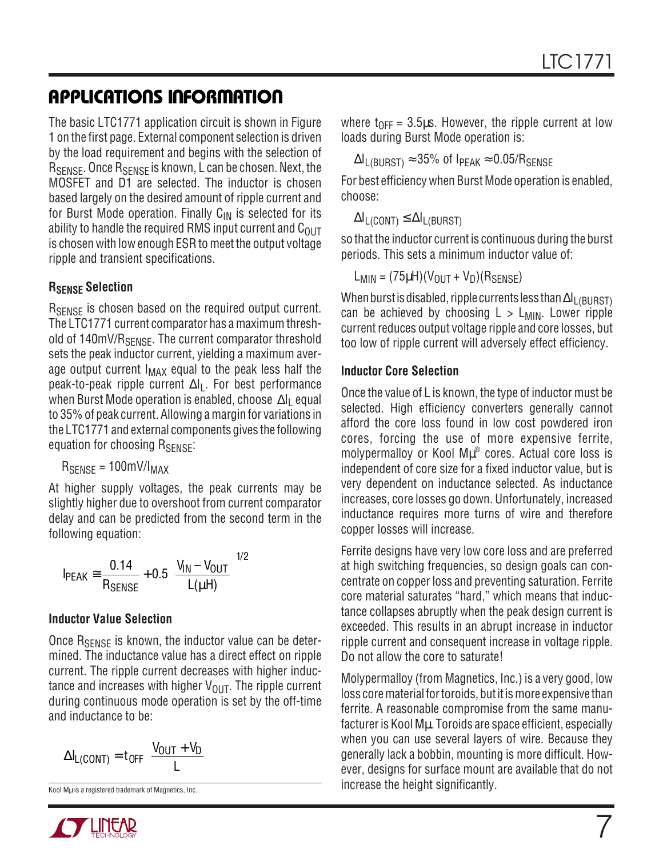The basic LTC1771 application circuit is shown in Figure 1 on the first page. External component selection is driven by the load requirement and begins with the selection of RSENSE. Once RSENSE is known, L can be chosen. Next, the MOSFET and D1 are selected. The inductor is chosen based largely on the desired amount of ripple current and for Burst Mode operation. Finally  $C_{IN}$  is selected for its ability to handle the required RMS input current and  $C<sub>OUT</sub>$ is chosen with low enough ESR to meet the output voltage ripple and transient specifications.

#### **RSENSE Selection**

R<sub>SFNSF</sub> is chosen based on the required output current. The LTC1771 current comparator has a maximum threshold of 140mV/R<sub>SENSE</sub>. The current comparator threshold sets the peak inductor current, yielding a maximum average output current  $I_{MAX}$  equal to the peak less half the peak-to-peak ripple current  $\Delta I_L$ . For best performance when Burst Mode operation is enabled, choose ∆I<sub>L</sub> equal to 35% of peak current. Allowing a margin for variations in the LTC1771 and external components gives the following equation for choosing  $R_{\text{SFNSF}}$ :

 $R_{\text{SENSE}} = 100 \text{mV/l}_{\text{MAX}}$ 

At higher supply voltages, the peak currents may be slightly higher due to overshoot from current comparator delay and can be predicted from the second term in the following equation:

$$
I_{PEAK} \cong \frac{0.14}{R_{SENSE}} + 0.5 \left(\frac{V_{IN} - V_{OUT}}{L(\mu H)}\right)^{1/2}
$$

#### **Inductor Value Selection**

Once  $R_{\text{SENSE}}$  is known, the inductor value can be determined. The inductance value has a direct effect on ripple current. The ripple current decreases with higher inductance and increases with higher  $V_{\text{OUT}}$ . The ripple current during continuous mode operation is set by the off-time and inductance to be:

$$
\Delta I_{L(CONT)} = t_{OFF} \left( \frac{V_{OUT} + V_D}{L} \right)
$$



where  $t_{OFF} = 3.5\mu s$ . However, the ripple current at low loads during Burst Mode operation is:

 $\Delta I_{\text{L(BURST)}} \approx 35\%$  of I<sub>PEAK</sub>  $\approx 0.05/R_{\text{SENSE}}$ 

For best efficiency when Burst Mode operation is enabled, choose:

 $\Delta I_{L(CONT)} \leq \Delta I_{L(BURST)}$ 

so that the inductor current is continuous during the burst periods. This sets a minimum inductor value of:

$$
L_{MIN} = (75 \mu H)(V_{OUT} + V_D)(R_{SENSE})
$$

When burst is disabled, ripple currents less than ∆I<sub>L(BURST)</sub> can be achieved by choosing  $L > L_{MIN}$ . Lower ripple current reduces output voltage ripple and core losses, but too low of ripple current will adversely effect efficiency.

#### **Inductor Core Selection**

Once the value of L is known, the type of inductor must be selected. High efficiency converters generally cannot afford the core loss found in low cost powdered iron cores, forcing the use of more expensive ferrite, molypermalloy or Kool Mµ® cores. Actual core loss is independent of core size for a fixed inductor value, but is very dependent on inductance selected. As inductance increases, core losses go down. Unfortunately, increased inductance requires more turns of wire and therefore copper losses will increase.

Ferrite designs have very low core loss and are preferred at high switching frequencies, so design goals can concentrate on copper loss and preventing saturation. Ferrite core material saturates "hard," which means that inductance collapses abruptly when the peak design current is exceeded. This results in an abrupt increase in inductor ripple current and consequent increase in voltage ripple. Do not allow the core to saturate!

Molypermalloy (from Magnetics, Inc.) is a very good, low loss core material for toroids, but it is more expensive than ferrite. A reasonable compromise from the same manufacturer is Kool Mu. Toroids are space efficient, especially when you can use several layers of wire. Because they generally lack a bobbin, mounting is more difficult. However, designs for surface mount are available that do not **The magnificant of Magnetics, Inc.** The magnetics, Inc. The increase the height significantly.

7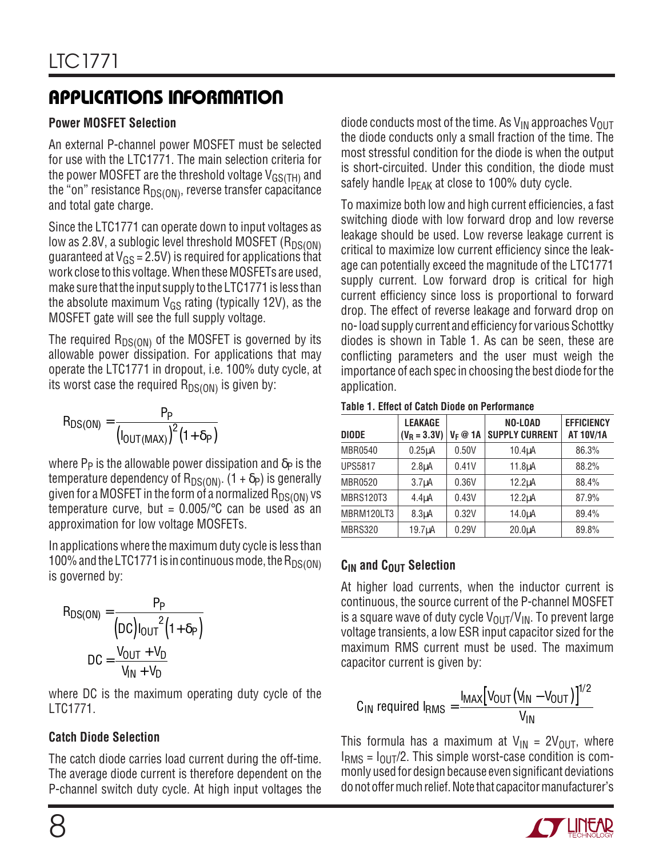### **Power MOSFET Selection**

An external P-channel power MOSFET must be selected for use with the LTC1771. The main selection criteria for the power MOSFET are the threshold voltage  $V_{GS(TH)}$  and the "on" resistance  $R_{DS(ON)}$ , reverse transfer capacitance and total gate charge.

Since the LTC1771 can operate down to input voltages as low as 2.8V, a sublogic level threshold MOSFET  $(R_{DS(ON)}$ guaranteed at  $V_{GS}$  = 2.5V) is required for applications that work close to this voltage. When these MOSFETs are used, make sure that the input supply to the LTC1771 is less than the absolute maximum  $V_{GS}$  rating (typically 12V), as the MOSFET gate will see the full supply voltage.

The required  $R_{DS(ON)}$  of the MOSFET is governed by its allowable power dissipation. For applications that may operate the LTC1771 in dropout, i.e. 100% duty cycle, at its worst case the required  $R_{DS(ON)}$  is given by:

$$
R_{DS(ON)} = \frac{P_P}{\left(I_{OUT(MAX)}\right)^2 (1 + \delta_P)}
$$

where  $P_P$  is the allowable power dissipation and  $\delta_P$  is the temperature dependency of  $R_{DS(ON)}$ . (1 +  $\delta$ <sub>P</sub>) is generally given for a MOSFET in the form of a normalized  $R_{DS(ON)}$  vs temperature curve, but =  $0.005$ / $\degree$ C can be used as an approximation for low voltage MOSFETs.

In applications where the maximum duty cycle is less than 100% and the LTC1771 is in continuous mode, the  $R_{DS(ON)}$ is governed by:

$$
R_{DS(ON)} = \frac{P_P}{(DC)I_{OUT}^2(1+\delta_P)}
$$

$$
DC = \frac{V_{OUT} + V_D}{V_{IN} + V_D}
$$

where DC is the maximum operating duty cycle of the LTC1771.

### **Catch Diode Selection**

The catch diode carries load current during the off-time. The average diode current is therefore dependent on the P-channel switch duty cycle. At high input voltages the diode conducts most of the time. As  $V_{IN}$  approaches  $V_{OUT}$ the diode conducts only a small fraction of the time. The most stressful condition for the diode is when the output is short-circuited. Under this condition, the diode must safely handle  $I_{\text{PFAK}}$  at close to 100% duty cycle.

To maximize both low and high current efficiencies, a fast switching diode with low forward drop and low reverse leakage should be used. Low reverse leakage current is critical to maximize low current efficiency since the leakage can potentially exceed the magnitude of the LTC1771 supply current. Low forward drop is critical for high current efficiency since loss is proportional to forward drop. The effect of reverse leakage and forward drop on no- load supply current and efficiency for various Schottky diodes is shown in Table 1. As can be seen, these are conflicting parameters and the user must weigh the importance of each spec in choosing the best diode for the application.

|  |  | Table 1. Effect of Catch Diode on Performance |
|--|--|-----------------------------------------------|
|  |  |                                               |

| <b>DIODE</b>     | <b>LEAKAGE</b><br>$(V_R = 3.3V)$ | $V_F \otimes 1A$ | <b>NO-LOAD</b><br><b>SUPPLY CURRENT</b> | <b>EFFICIENCY</b><br><b>AT 10V/1A</b> |
|------------------|----------------------------------|------------------|-----------------------------------------|---------------------------------------|
| <b>MBR0540</b>   | $0.25\mu A$                      | 0.50V            | $10.4\muA$                              | 86.3%                                 |
| <b>UPS5817</b>   | 2.8 <sub>µ</sub> A               | 0.41V            | $11.8µ$ A                               | 88.2%                                 |
| <b>MBR0520</b>   | $3.7\muA$                        | 0.36V            | $12.2\mu A$                             | 88.4%                                 |
| <b>MBRS120T3</b> | 4.4 <sub>µ</sub> A               | 0.43V            | $12.2\mu A$                             | 87.9%                                 |
| MBRM120LT3       | 8.3 <sub>µ</sub> A               | 0.32V            | $14.0\muA$                              | 89.4%                                 |
| MBRS320          | $19.7\muA$                       | 0.29V            | $20.0\muA$                              | 89.8%                                 |

### **C<sub>IN</sub>** and C<sub>OUT</sub> Selection

At higher load currents, when the inductor current is continuous, the source current of the P-channel MOSFET is a square wave of duty cycle  $V_{\text{OUT}}/V_{\text{IN}}$ . To prevent large voltage transients, a low ESR input capacitor sized for the maximum RMS current must be used. The maximum capacitor current is given by:

$$
C_{IN} \text{ required } I_{RMS} = \frac{I_{MAX} \left[ V_{OUT} (V_{IN} - V_{OUT}) \right]^{1/2}}{V_{IN}}
$$

This formula has a maximum at  $V_{IN} = 2V_{OUT}$ , where  $I<sub>RMS</sub> = I<sub>OUT</sub>/2$ . This simple worst-case condition is commonly used for design because even significant deviations do not offer much relief. Note that capacitor manufacturer's

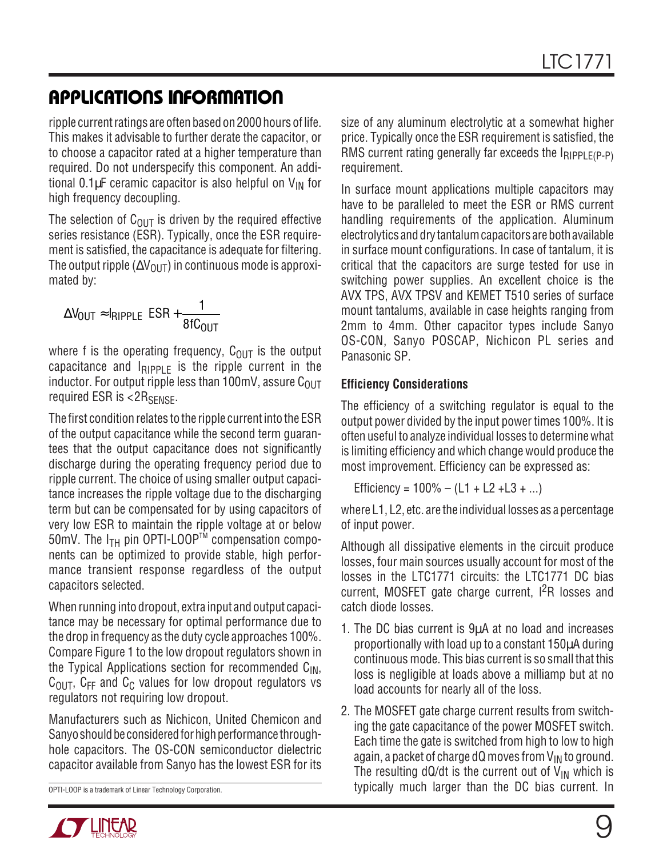ripple current ratings are often based on 2000 hours of life. This makes it advisable to further derate the capacitor, or to choose a capacitor rated at a higher temperature than required. Do not underspecify this component. An additional 0.1 $\mu$ F ceramic capacitor is also helpful on  $V_{\text{IN}}$  for high frequency decoupling.

The selection of  $C_{\text{OUT}}$  is driven by the required effective series resistance (ESR). Typically, once the ESR requirement is satisfied, the capacitance is adequate for filtering. The output ripple ( $\Delta V_{\text{OUT}}$ ) in continuous mode is approximated by:

$$
\Delta V_{OUT} \approx I_{RIPPLE}\left(ESR + \frac{1}{8fC_{OUT}}\right)
$$

where f is the operating frequency,  $C_{\text{OUT}}$  is the output capacitance and  $I_{RIPPIF}$  is the ripple current in the inductor. For output ripple less than 100mV, assure  $C<sub>OUT</sub>$ required ESR is  $< 2R<sub>SENSE</sub>$ .

The first condition relates to the ripple current into the ESR of the output capacitance while the second term guarantees that the output capacitance does not significantly discharge during the operating frequency period due to ripple current. The choice of using smaller output capacitance increases the ripple voltage due to the discharging term but can be compensated for by using capacitors of very low ESR to maintain the ripple voltage at or below 50mV. The  $I_{TH}$  pin OPTI-LOOP<sup>TM</sup> compensation components can be optimized to provide stable, high performance transient response regardless of the output capacitors selected.

When running into dropout, extra input and output capacitance may be necessary for optimal performance due to the drop in frequency as the duty cycle approaches 100%. Compare Figure 1 to the low dropout regulators shown in the Typical Applications section for recommended  $C_{IN}$ ,  $C<sub>OUT</sub>$ ,  $C<sub>FF</sub>$  and  $C<sub>C</sub>$  values for low dropout regulators vs regulators not requiring low dropout.

Manufacturers such as Nichicon, United Chemicon and Sanyo should be considered for high performance throughhole capacitors. The OS-CON semiconductor dielectric capacitor available from Sanyo has the lowest ESR for its

size of any aluminum electrolytic at a somewhat higher price. Typically once the ESR requirement is satisfied, the RMS current rating generally far exceeds the  $I_{RIPPI F(P-P)}$ requirement.

In surface mount applications multiple capacitors may have to be paralleled to meet the ESR or RMS current handling requirements of the application. Aluminum electrolytics and dry tantalum capacitors are both available in surface mount configurations. In case of tantalum, it is critical that the capacitors are surge tested for use in switching power supplies. An excellent choice is the AVX TPS, AVX TPSV and KEMET T510 series of surface mount tantalums, available in case heights ranging from 2mm to 4mm. Other capacitor types include Sanyo OS-CON, Sanyo POSCAP, Nichicon PL series and Panasonic SP.

#### **Efficiency Considerations**

The efficiency of a switching regulator is equal to the output power divided by the input power times 100%. It is often useful to analyze individual losses to determine what is limiting efficiency and which change would produce the most improvement. Efficiency can be expressed as:

Efficiency =  $100\% - (L1 + L2 + L3 + ...)$ 

where L1, L2, etc. are the individual losses as a percentage of input power.

Although all dissipative elements in the circuit produce losses, four main sources usually account for most of the losses in the LTC1771 circuits: the LTC1771 DC bias current, MOSFET gate charge current, I<sup>2</sup>R losses and catch diode losses.

- 1. The DC bias current is 9µA at no load and increases proportionally with load up to a constant 150µA during continuous mode. This bias current is so small that this loss is negligible at loads above a milliamp but at no load accounts for nearly all of the loss.
- 2. The MOSFET gate charge current results from switching the gate capacitance of the power MOSFET switch. Each time the gate is switched from high to low to high again, a packet of charge dQ moves from  $V_{IN}$  to ground. The resulting dQ/dt is the current out of  $V_{IN}$  which is OPTI-LOOP is a trademark of Linear Technology Corporation. The Computation of typically much larger than the DC bias current. In

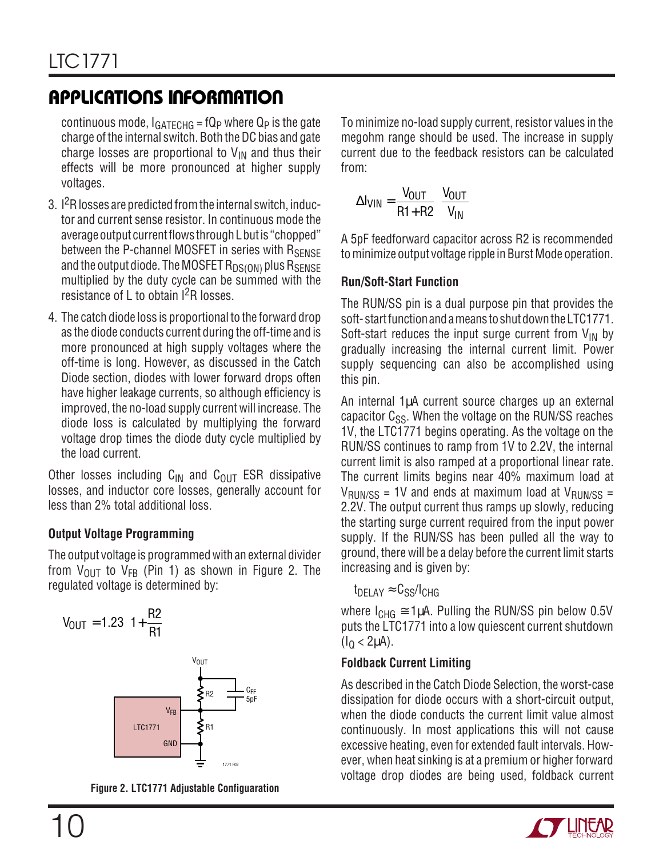continuous mode,  $I_{GATECHG}$  = fQ<sub>P</sub> where Q<sub>P</sub> is the gate charge of the internal switch. Both the DC bias and gate charge losses are proportional to  $V_{IN}$  and thus their effects will be more pronounced at higher supply voltages.

- 3.  $1<sup>2</sup>R$  losses are predicted from the internal switch, inductor and current sense resistor. In continuous mode the average output current flows through L but is "chopped" between the P-channel MOSFET in series with RSENSE and the output diode. The MOSFET  $R_{DS(ON)}$  plus  $R_{SENSE}$ multiplied by the duty cycle can be summed with the resistance of L to obtain  $1^2R$  losses.
- 4. The catch diode loss is proportional to the forward drop as the diode conducts current during the off-time and is more pronounced at high supply voltages where the off-time is long. However, as discussed in the Catch Diode section, diodes with lower forward drops often have higher leakage currents, so although efficiency is improved, the no-load supply current will increase. The diode loss is calculated by multiplying the forward voltage drop times the diode duty cycle multiplied by the load current.

Other losses including  $C_{IN}$  and  $C_{OUT}$  ESR dissipative losses, and inductor core losses, generally account for less than 2% total additional loss.

### **Output Voltage Programming**

The output voltage is programmed with an external divider from  $V_{\text{OUT}}$  to  $V_{FB}$  (Pin 1) as shown in Figure 2. The regulated voltage is determined by:



**Figure 2. LTC1771 Adjustable Configuaration**

To minimize no-load supply current, resistor values in the megohm range should be used. The increase in supply current due to the feedback resistors can be calculated from:

$$
\Delta I_{VIN} = \frac{V_{OUT}}{R1 + R2} \left( \frac{V_{OUT}}{V_{IN}} \right)
$$

A 5pF feedforward capacitor across R2 is recommended to minimize output voltage ripple in Burst Mode operation.

### **Run/Soft-Start Function**

The RUN/SS pin is a dual purpose pin that provides the soft- start function and a means to shut down the LTC1771. Soft-start reduces the input surge current from  $V_{IN}$  by gradually increasing the internal current limit. Power supply sequencing can also be accomplished using this pin.

An internal 1µA current source charges up an external capacitor  $C_{SS}$ . When the voltage on the RUN/SS reaches 1V, the LTC1771 begins operating. As the voltage on the RUN/SS continues to ramp from 1V to 2.2V, the internal current limit is also ramped at a proportional linear rate. The current limits begins near 40% maximum load at  $V_{\text{RIIN/SS}}$  = 1V and ends at maximum load at  $V_{\text{RIIN/SS}}$  = 2.2V. The output current thus ramps up slowly, reducing the starting surge current required from the input power supply. If the RUN/SS has been pulled all the way to ground, there will be a delay before the current limit starts increasing and is given by:

 $t_{DEI AY} \approx C_{SS}/I_{CHG}$ 

where  $I_{CHG} \cong 1\mu A$ . Pulling the RUN/SS pin below 0.5V puts the LTC1771 into a low quiescent current shutdown  $(I<sub>0</sub> < 2<sub>µ</sub>A).$ 

### **Foldback Current Limiting**

As described in the Catch Diode Selection, the worst-case dissipation for diode occurs with a short-circuit output, when the diode conducts the current limit value almost continuously. In most applications this will not cause excessive heating, even for extended fault intervals. However, when heat sinking is at a premium or higher forward voltage drop diodes are being used, foldback current

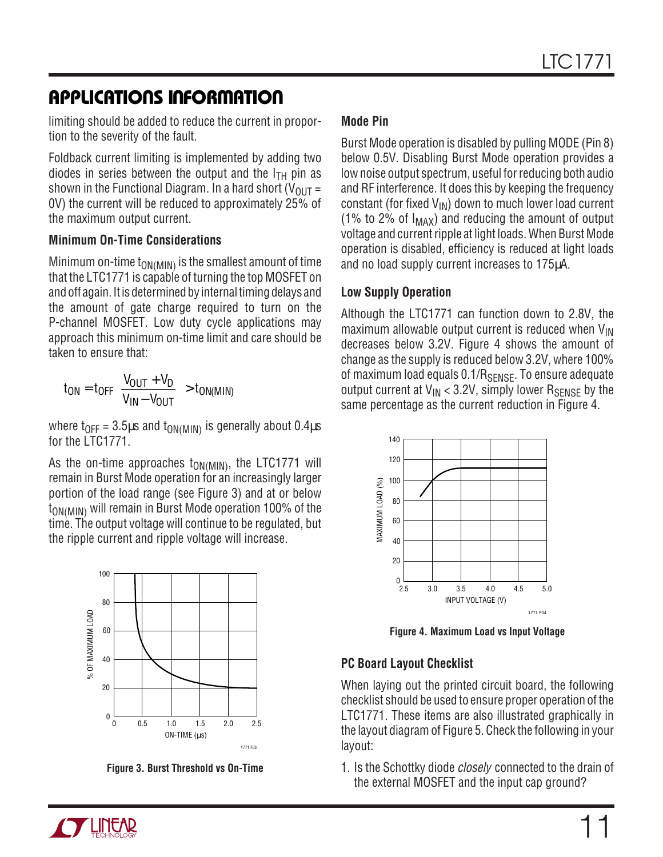limiting should be added to reduce the current in proportion to the severity of the fault.

Foldback current limiting is implemented by adding two diodes in series between the output and the  $I<sub>TH</sub>$  pin as shown in the Functional Diagram. In a hard short ( $V_{OUT}$  = 0V) the current will be reduced to approximately 25% of the maximum output current.

#### **Minimum On-Time Considerations**

Minimum on-time  $t_{ON(MIN)}$  is the smallest amount of time that the LTC1771 is capable of turning the top MOSFET on and off again. It is determined by internal timing delays and the amount of gate charge required to turn on the P-channel MOSFET. Low duty cycle applications may approach this minimum on-time limit and care should be taken to ensure that:

$$
t_{ON} = t_{OFF} \left( \frac{V_{OUT} + V_D}{V_{IN} - V_{OUT}} \right) > t_{ON(MIN)}
$$

where t<sub>OFF</sub> = 3.5 $\mu$ s and t<sub>ON(MIN)</sub> is generally about 0.4 $\mu$ s for the LTC1771.

As the on-time approaches  $t_{ON(MIN)}$ , the LTC1771 will remain in Burst Mode operation for an increasingly larger portion of the load range (see Figure 3) and at or below t<sub>ON(MIN)</sub> will remain in Burst Mode operation 100% of the time. The output voltage will continue to be regulated, but the ripple current and ripple voltage will increase.



**Figure 3. Burst Threshold vs On-Time**

### **Mode Pin**

Burst Mode operation is disabled by pulling MODE (Pin 8) below 0.5V. Disabling Burst Mode operation provides a low noise output spectrum, useful for reducing both audio and RF interference. It does this by keeping the frequency constant (for fixed  $V_{IN}$ ) down to much lower load current (1% to 2% of  $I_{MAX}$ ) and reducing the amount of output voltage and current ripple at light loads. When Burst Mode operation is disabled, efficiency is reduced at light loads and no load supply current increases to 175µA.

#### **Low Supply Operation**

Although the LTC1771 can function down to 2.8V, the maximum allowable output current is reduced when  $V_{\text{IN}}$ decreases below 3.2V. Figure 4 shows the amount of change as the supply is reduced below 3.2V, where 100% of maximum load equals  $0.1/R_{\text{SENSE}}$ . To ensure adequate output current at  $V_{IN}$  < 3.2V, simply lower  $R_{SENSF}$  by the same percentage as the current reduction in Figure 4.



**Figure 4. Maximum Load vs Input Voltage**

### **PC Board Layout Checklist**

When laying out the printed circuit board, the following checklist should be used to ensure proper operation of the LTC1771. These items are also illustrated graphically in the layout diagram of Figure 5. Check the following in your layout:

1. Is the Schottky diode closely connected to the drain of the external MOSFET and the input cap ground?

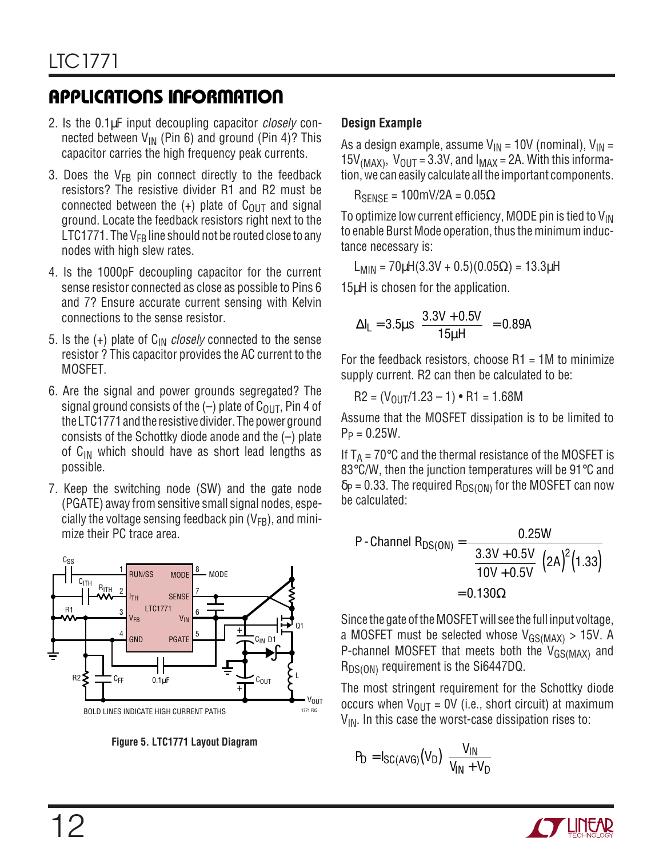- 2. Is the 0.1µF input decoupling capacitor *closely* connected between  $V_{IN}$  (Pin 6) and ground (Pin 4)? This capacitor carries the high frequency peak currents.
- 3. Does the  $V_{FB}$  pin connect directly to the feedback resistors? The resistive divider R1 and R2 must be connected between the  $(+)$  plate of C<sub>OUT</sub> and signal ground. Locate the feedback resistors right next to the LTC1771. The  $V_{FB}$  line should not be routed close to any nodes with high slew rates.
- 4. Is the 1000pF decoupling capacitor for the current sense resistor connected as close as possible to Pins 6 and 7? Ensure accurate current sensing with Kelvin connections to the sense resistor.
- 5. Is the  $(+)$  plate of  $C_{\text{IN}}$  closely connected to the sense resistor ? This capacitor provides the AC current to the MOSFET.
- 6. Are the signal and power grounds segregated? The signal ground consists of the  $(-)$  plate of C<sub>OUT</sub>, Pin 4 of the LTC1771 and the resistive divider. The power ground consists of the Schottky diode anode and the (–) plate of  $C_{IN}$  which should have as short lead lengths as possible.
- 7. Keep the switching node (SW) and the gate node (PGATE) away from sensitive small signal nodes, especially the voltage sensing feedback pin  $(V_{FB})$ , and minimize their PC trace area.





### **Design Example**

As a design example, assume  $V_{IN} = 10V$  (nominal),  $V_{IN} =$ 15V<sub>(MAX)</sub>, V<sub>OUT</sub> = 3.3V, and  $I_{MAX}$  = 2A. With this information, we can easily calculate all the important components.

 $R_{SENSE} = 100 \text{mV} / 2 \text{A} = 0.05 \Omega$ 

To optimize low current efficiency, MODE pin is tied to  $V_{IN}$ to enable Burst Mode operation, thus the minimum inductance necessary is:

L<sub>MIN</sub> =  $70\mu$ H(3.3V + 0.5)(0.05 $\Omega$ ) = 13.3 $\mu$ H

15µH is chosen for the application.

$$
\Delta I_{L} = 3.5 \mu s \left( \frac{3.3 V + 0.5 V}{15 \mu H} \right) = 0.89 A
$$

For the feedback resistors, choose  $R1 = 1M$  to minimize supply current. R2 can then be calculated to be:

 $R2 = (V_{011} / 1.23 - 1) \cdot R1 = 1.68M$ 

Assume that the MOSFET dissipation is to be limited to  $P_P = 0.25W$ .

If  $T_A$  = 70 $\degree$ C and the thermal resistance of the MOSFET is 83°C/W, then the junction temperatures will be 91°C and  $\delta$ P = 0.33. The required R<sub>DS(ON)</sub> for the MOSFET can now be calculated:

P-Channel R<sub>DS(ON)</sub> = 
$$
\frac{0.25W}{\left(\frac{3.3V + 0.5V}{10V + 0.5V}\right)(2A)^{2}(1.33)}
$$

$$
= 0.130Ω
$$

Since the gate of the MOSFET will see the full input voltage, a MOSFET must be selected whose  $V_{GS(MAX)} > 15V$ . A P-channel MOSFET that meets both the  $V_{GS(MAX)}$  and  $R_{DS(ON)}$  requirement is the Si6447DQ.

The most stringent requirement for the Schottky diode occurs when  $V_{OIII}$  = 0V (i.e., short circuit) at maximum  $V_{\text{IN}}$ . In this case the worst-case dissipation rises to:

$$
P_D = I_{SC(AVG)}(V_D) \left( \frac{V_{IN}}{V_{IN} + V_D} \right)
$$

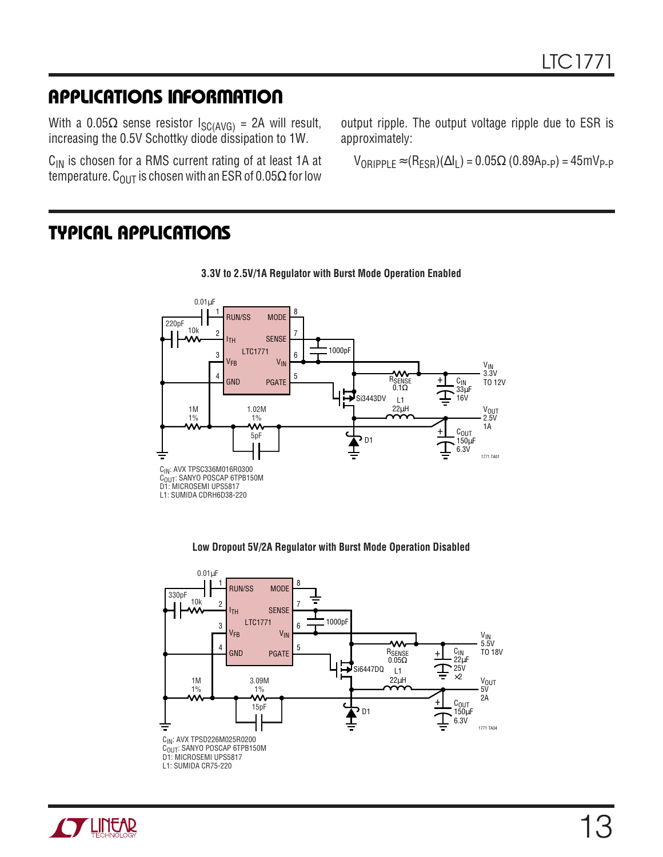With a 0.05 $\Omega$  sense resistor I<sub>SC(AVG)</sub> = 2A will result, increasing the 0.5V Schottky diode dissipation to 1W.

 $C_{IN}$  is chosen for a RMS current rating of at least 1A at temperature. C<sub>OUT</sub> is chosen with an ESR of 0.05 $\Omega$  for low

output ripple. The output voltage ripple due to ESR is approximately:

 $V_{ORIPPLE} \approx (R_{ESR})(\Delta I_L) = 0.05\Omega (0.89Ap_P) = 45mV_{P-P}$ 

### **TYPICAL APPLICATIONS**



#### **Low Dropout 5V/2A Regulator with Burst Mode Operation Disabled**





#### **3.3V to 2.5V/1A Regulator with Burst Mode Operation Enabled**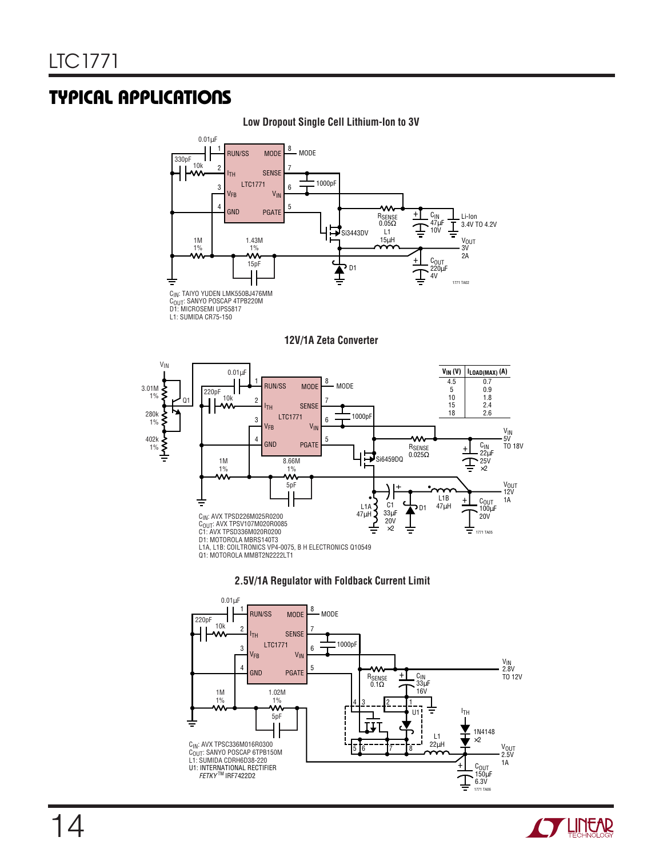### **TYPICAL APPLICATIONS**

#### **Low Dropout Single Cell Lithium-Ion to 3V**



C<sub>OUT</sub>: SANYO POSCAP 4TPB220M<br>D1: MICROSEMI UPS5817

L1: SUMIDA CR75-150

#### **12V/1A Zeta Converter**







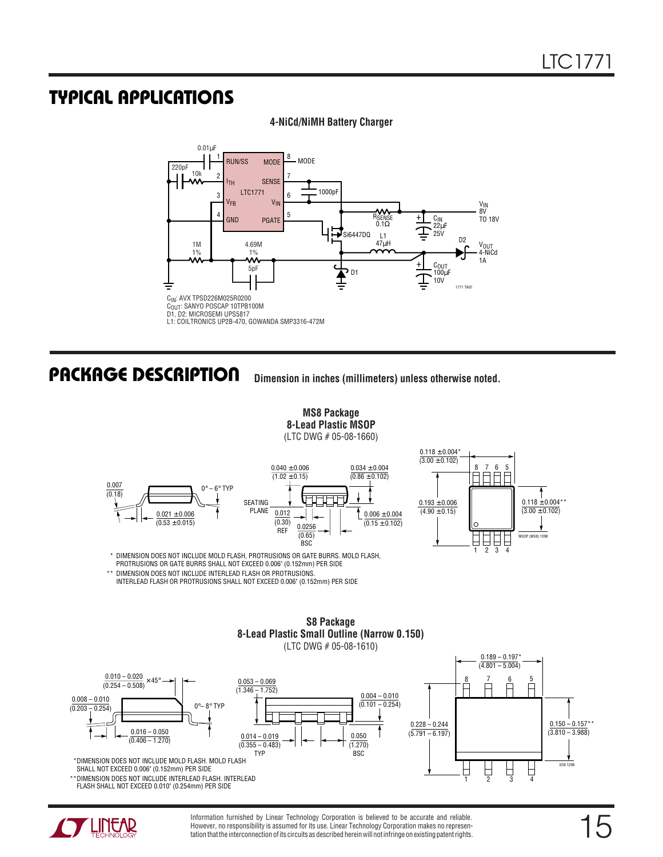### **TYPICAL APPLICATIONS U**

#### **4-NiCd/NiMH Battery Charger**



### **U PACKAGE DESCRIPTIO**

**Dimension in inches (millimeters) unless otherwise noted.**

**MS8 Package 8-Lead Plastic MSOP** (LTC DWG # 05-08-1660)  $0.021 \pm 0.006$  $(0.53 \pm 0.015)$  $0^\circ - 6^\circ$  TYP SEATING PLANE 0.007  $(0.18)$  $0.040 \pm 0.006$  $(1.02 \pm 0.15)$ 0.012  $(0.30)$ REF  $0.006 \pm 0.004$  $(0.15 \pm 0.102)$  $0.034 \pm 0.004$  $(0.86 \pm 0.102)$ 0.0256  $(0.65)$  $0.193 \pm 0.006$  $(4.90 \pm 0.15)$  $0.118 \pm 0.004^{\circ}$  $(3.00 \pm 0.102)$ 

BSC



\* DIMENSION DOES NOT INCLUDE MOLD FLASH, PROTRUSIONS OR GATE BURRS. MOLD FLASH,

PROTRUSIONS OR GATE BURRS SHALL NOT EXCEED 0.006" (0.152mm) PER SIDE

\*\* DIMENSION DOES NOT INCLUDE INTERLEAD FLASH OR PROTRUSIONS. INTERLEAD FLASH OR PROTRUSIONS SHALL NOT EXCEED 0.006" (0.152mm) PER SIDE

#### **S8 Package 8-Lead Plastic Small Outline (Narrow 0.150)** (LTC DWG # 05-08-1610)





Information furnished by Linear Technology Corporation is believed to be accurate and reliable. However, no responsibility is assumed for its use. Linear Technology Corporation makes no representation that the interconnection of its circuits as described herein will not infringe on existing patent rights.